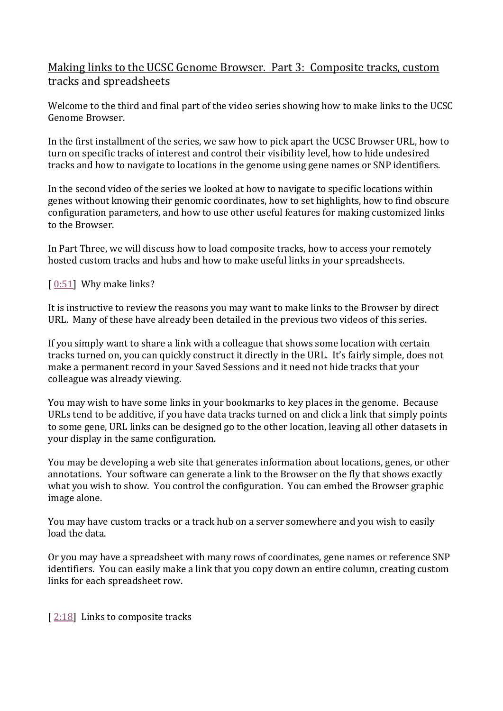# Making links to the UCSC Genome Browser. Part 3: Composite tracks, custom tracks and spreadsheets

Welcome to the third and final part of the video series showing how to make links to the UCSC Genome Browser.

In the first installment of the series, we saw how to pick apart the UCSC Browser URL, how to turn on specific tracks of interest and control their visibility level, how to hide undesired tracks and how to navigate to locations in the genome using gene names or SNP identifiers.

In the second video of the series we looked at how to navigate to specific locations within genes without knowing their genomic coordinates, how to set highlights, how to find obscure configuration parameters, and how to use other useful features for making customized links to the Browser.

In Part Three, we will discuss how to load composite tracks, how to access your remotely hosted custom tracks and hubs and how to make useful links in your spreadsheets.

# $[0.51]$  Why make links?

It is instructive to review the reasons you may want to make links to the Browser by direct URL. Many of these have already been detailed in the previous two videos of this series.

If you simply want to share a link with a colleague that shows some location with certain tracks turned on, you can quickly construct it directly in the URL. It's fairly simple, does not make a permanent record in your Saved Sessions and it need not hide tracks that your colleague was already viewing.

You may wish to have some links in your bookmarks to key places in the genome. Because URLs tend to be additive, if you have data tracks turned on and click a link that simply points to some gene, URL links can be designed go to the other location, leaving all other datasets in your display in the same configuration.

You may be developing a web site that generates information about locations, genes, or other annotations. Your software can generate a link to the Browser on the fly that shows exactly what you wish to show. You control the configuration. You can embed the Browser graphic image alone.

You may have custom tracks or a track hub on a server somewhere and you wish to easily load the data.

Or you may have a spreadsheet with many rows of coordinates, gene names or reference SNP identifiers. You can easily make a link that you copy down an entire column, creating custom links for each spreadsheet row.

[ [2:18\]](https://www.youtube.com/watch?v=Yy4UmepYs2Q&feature=youtu.be&list=UUQnUJepyNOw0p8s2otX4RYQ&t=138s) Links to composite tracks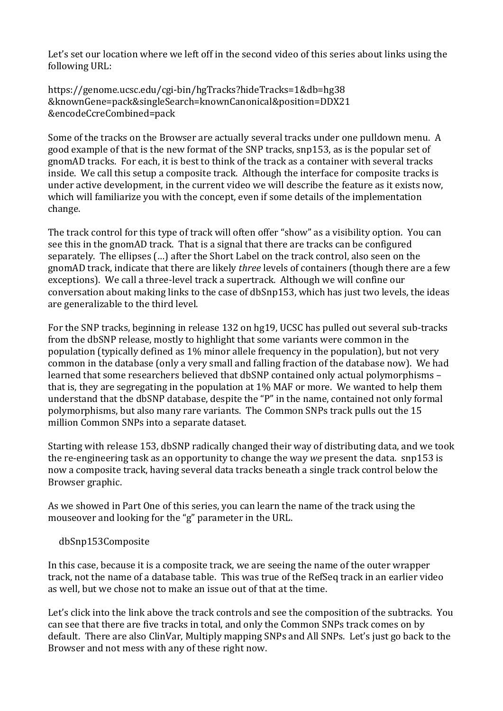Let's set our location where we left off in the second video of this series about links using the following URL:

https://genome.ucsc.edu/cgi-bin/hgTracks?hideTracks=1&db=hg38 &knownGene=pack&singleSearch=knownCanonical&position=DDX21 &encodeCcreCombined=pack

Some of the tracks on the Browser are actually several tracks under one pulldown menu. A good example of that is the new format of the SNP tracks, snp153, as is the popular set of gnomAD tracks. For each, it is best to think of the track as a container with several tracks inside. We call this setup a composite track. Although the interface for composite tracks is under active development, in the current video we will describe the feature as it exists now, which will familiarize you with the concept, even if some details of the implementation change.

The track control for this type of track will often offer "show" as a visibility option. You can see this in the gnomAD track. That is a signal that there are tracks can be configured separately. The ellipses (…) after the Short Label on the track control, also seen on the gnomAD track, indicate that there are likely *three* levels of containers (though there are a few exceptions). We call a three-level track a supertrack. Although we will confine our conversation about making links to the case of dbSnp153, which has just two levels, the ideas are generalizable to the third level.

For the SNP tracks, beginning in release 132 on hg19, UCSC has pulled out several sub-tracks from the dbSNP release, mostly to highlight that some variants were common in the population (typically defined as 1% minor allele frequency in the population), but not very common in the database (only a very small and falling fraction of the database now). We had learned that some researchers believed that dbSNP contained only actual polymorphisms – that is, they are segregating in the population at 1% MAF or more. We wanted to help them understand that the dbSNP database, despite the "P" in the name, contained not only formal polymorphisms, but also many rare variants. The Common SNPs track pulls out the 15 million Common SNPs into a separate dataset.

Starting with release 153, dbSNP radically changed their way of distributing data, and we took the re-engineering task as an opportunity to change the way *we* present the data. snp153 is now a composite track, having several data tracks beneath a single track control below the Browser graphic.

As we showed in Part One of this series, you can learn the name of the track using the mouseover and looking for the "g" parameter in the URL.

#### dbSnp153Composite

In this case, because it is a composite track, we are seeing the name of the outer wrapper track, not the name of a database table. This was true of the RefSeq track in an earlier video as well, but we chose not to make an issue out of that at the time.

Let's click into the link above the track controls and see the composition of the subtracks. You can see that there are five tracks in total, and only the Common SNPs track comes on by default. There are also ClinVar, Multiply mapping SNPs and All SNPs. Let's just go back to the Browser and not mess with any of these right now.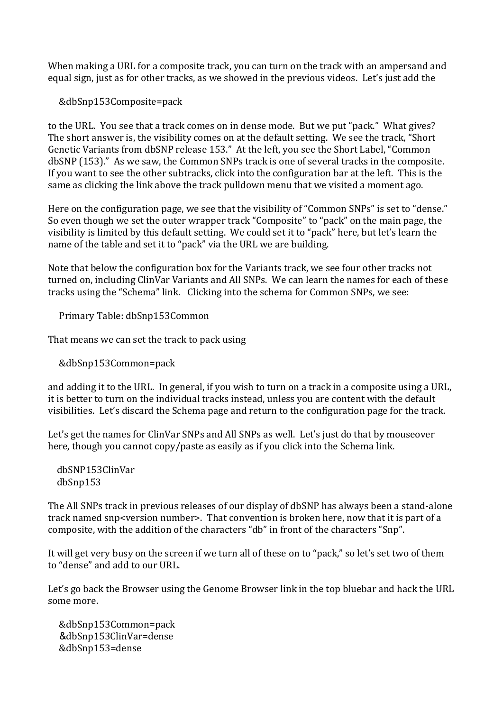When making a URL for a composite track, you can turn on the track with an ampersand and equal sign, just as for other tracks, as we showed in the previous videos. Let's just add the

&dbSnp153Composite=pack

to the URL. You see that a track comes on in dense mode. But we put "pack." What gives? The short answer is, the visibility comes on at the default setting. We see the track, "Short Genetic Variants from dbSNP release 153." At the left, you see the Short Label, "Common dbSNP (153)." As we saw, the Common SNPs track is one of several tracks in the composite. If you want to see the other subtracks, click into the configuration bar at the left. This is the same as clicking the link above the track pulldown menu that we visited a moment ago.

Here on the configuration page, we see that the visibility of "Common SNPs" is set to "dense." So even though we set the outer wrapper track "Composite" to "pack" on the main page, the visibility is limited by this default setting. We could set it to "pack" here, but let's learn the name of the table and set it to "pack" via the URL we are building.

Note that below the configuration box for the Variants track, we see four other tracks not turned on, including ClinVar Variants and All SNPs. We can learn the names for each of these tracks using the "Schema" link. Clicking into the schema for Common SNPs, we see:

Primary Table: dbSnp153Common

That means we can set the track to pack using

&dbSnp153Common=pack

and adding it to the URL. In general, if you wish to turn on a track in a composite using a URL, it is better to turn on the individual tracks instead, unless you are content with the default visibilities. Let's discard the Schema page and return to the configuration page for the track.

Let's get the names for ClinVar SNPs and All SNPs as well. Let's just do that by mouseover here, though you cannot copy/paste as easily as if you click into the Schema link.

 dbSNP153ClinVar dbSnp153

The All SNPs track in previous releases of our display of dbSNP has always been a stand-alone track named snp<version number>. That convention is broken here, now that it is part of a composite, with the addition of the characters "db" in front of the characters "Snp".

It will get very busy on the screen if we turn all of these on to "pack," so let's set two of them to "dense" and add to our URL.

Let's go back the Browser using the Genome Browser link in the top bluebar and hack the URL some more.

 &dbSnp153Common=pack &dbSnp153ClinVar=dense &dbSnp153=dense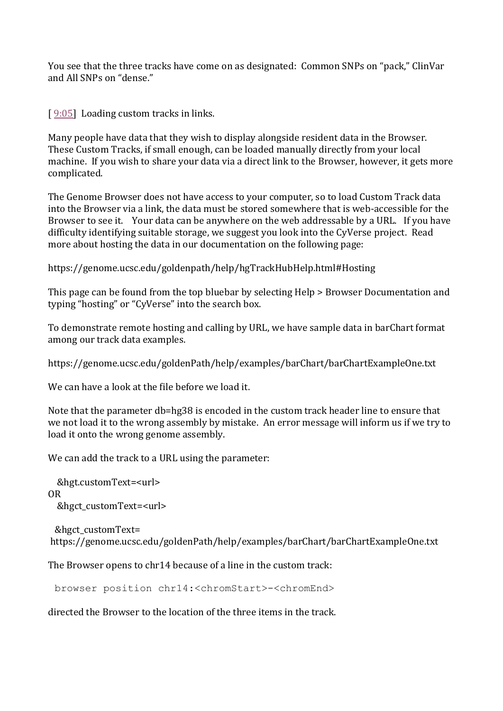You see that the three tracks have come on as designated: Common SNPs on "pack," ClinVar and All SNPs on "dense."

[ $9:05$ ] Loading custom tracks in links.

Many people have data that they wish to display alongside resident data in the Browser. These Custom Tracks, if small enough, can be loaded manually directly from your local machine. If you wish to share your data via a direct link to the Browser, however, it gets more complicated.

The Genome Browser does not have access to your computer, so to load Custom Track data into the Browser via a link, the data must be stored somewhere that is web-accessible for the Browser to see it. Your data can be anywhere on the web addressable by a URL. If you have difficulty identifying suitable storage, we suggest you look into the CyVerse project. Read more about hosting the data in our documentation on the following page:

https://genome.ucsc.edu/goldenpath/help/hgTrackHubHelp.html#Hosting

This page can be found from the top bluebar by selecting Help > Browser Documentation and typing "hosting" or "CyVerse" into the search box.

To demonstrate remote hosting and calling by URL, we have sample data in barChart format among our track data examples.

https://genome.ucsc.edu/goldenPath/help/examples/barChart/barChartExampleOne.txt

We can have a look at the file before we load it.

Note that the parameter db=hg38 is encoded in the custom track header line to ensure that we not load it to the wrong assembly by mistake. An error message will inform us if we try to load it onto the wrong genome assembly.

We can add the track to a URL using the parameter:

 &hgt.customText=<url> OR &hgct\_customText=<url>

&hgct\_customText= https://genome.ucsc.edu/goldenPath/help/examples/barChart/barChartExampleOne.txt

The Browser opens to chr14 because of a line in the custom track:

browser position chr14:<chromStart>-<chromEnd>

directed the Browser to the location of the three items in the track.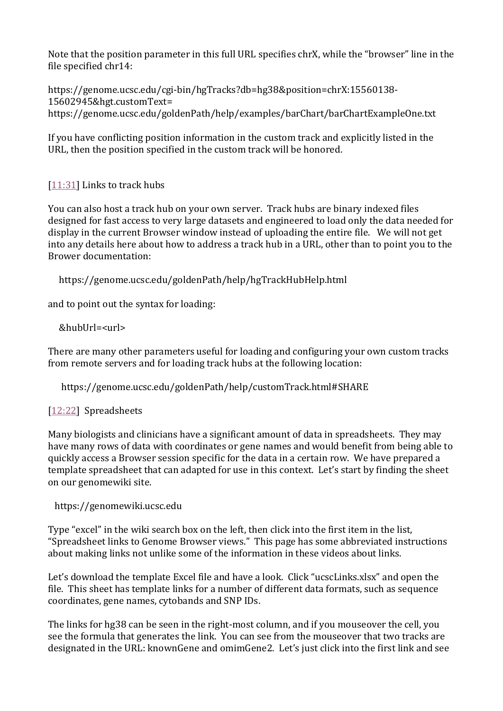Note that the position parameter in this full URL specifies chrX, while the "browser" line in the file specified chr14:

https://genome.ucsc.edu/cgi-bin/hgTracks?db=hg38&position=chrX:15560138- 15602945&hgt.customText= https://genome.ucsc.edu/goldenPath/help/examples/barChart/barChartExampleOne.txt

If you have conflicting position information in the custom track and explicitly listed in the URL, then the position specified in the custom track will be honored.

# [\[11:31\]](https://www.youtube.com/watch?v=Yy4UmepYs2Q&feature=youtu.be&list=UUQnUJepyNOw0p8s2otX4RYQ&t=691s) Links to track hubs

You can also host a track hub on your own server. Track hubs are binary indexed files designed for fast access to very large datasets and engineered to load only the data needed for display in the current Browser window instead of uploading the entire file. We will not get into any details here about how to address a track hub in a URL, other than to point you to the Brower documentation:

https://genome.ucsc.edu/goldenPath/help/hgTrackHubHelp.html

and to point out the syntax for loading:

&hubUrl=<url>

There are many other parameters useful for loading and configuring your own custom tracks from remote servers and for loading track hubs at the following location:

https://genome.ucsc.edu/goldenPath/help/customTrack.html#SHARE

# [\[12:22\]](https://www.youtube.com/watch?v=Yy4UmepYs2Q&feature=youtu.be&list=UUQnUJepyNOw0p8s2otX4RYQ&t=742s) Spreadsheets

Many biologists and clinicians have a significant amount of data in spreadsheets. They may have many rows of data with coordinates or gene names and would benefit from being able to quickly access a Browser session specific for the data in a certain row. We have prepared a template spreadsheet that can adapted for use in this context. Let's start by finding the sheet on our genomewiki site.

https://genomewiki.ucsc.edu

Type "excel" in the wiki search box on the left, then click into the first item in the list, "Spreadsheet [links to Genome Browser views.](http://genomewiki.ucsc.edu/index.php/Spreadsheet_links_to_Genome_Browser_views)" This page has some abbreviated instructions about making links not unlike some of the information in these videos about links.

Let's download the template Excel file and have a look. Click "ucscLinks.xlsx" and open the file. This sheet has template links for a number of different data formats, such as sequence coordinates, gene names, cytobands and SNP IDs.

The links for hg38 can be seen in the right-most column, and if you mouseover the cell, you see the formula that generates the link. You can see from the mouseover that two tracks are designated in the URL: knownGene and omimGene2. Let's just click into the first link and see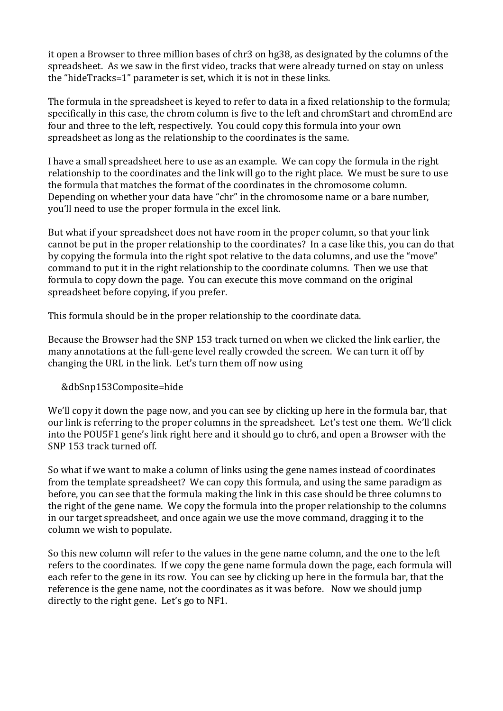it open a Browser to three million bases of chr3 on hg38, as designated by the columns of the spreadsheet. As we saw in the first video, tracks that were already turned on stay on unless the "hideTracks=1" parameter is set, which it is not in these links.

The formula in the spreadsheet is keyed to refer to data in a fixed relationship to the formula; specifically in this case, the chrom column is five to the left and chromStart and chromEnd are four and three to the left, respectively. You could copy this formula into your own spreadsheet as long as the relationship to the coordinates is the same.

I have a small spreadsheet here to use as an example. We can copy the formula in the right relationship to the coordinates and the link will go to the right place. We must be sure to use the formula that matches the format of the coordinates in the chromosome column. Depending on whether your data have "chr" in the chromosome name or a bare number, you'll need to use the proper formula in the excel link.

But what if your spreadsheet does not have room in the proper column, so that your link cannot be put in the proper relationship to the coordinates? In a case like this, you can do that by copying the formula into the right spot relative to the data columns, and use the "move" command to put it in the right relationship to the coordinate columns. Then we use that formula to copy down the page. You can execute this move command on the original spreadsheet before copying, if you prefer.

This formula should be in the proper relationship to the coordinate data.

Because the Browser had the SNP 153 track turned on when we clicked the link earlier, the many annotations at the full-gene level really crowded the screen. We can turn it off by changing the URL in the link. Let's turn them off now using

# &dbSnp153Composite=hide

We'll copy it down the page now, and you can see by clicking up here in the formula bar, that our link is referring to the proper columns in the spreadsheet. Let's test one them. We'll click into the POU5F1 gene's link right here and it should go to chr6, and open a Browser with the SNP 153 track turned off.

So what if we want to make a column of links using the gene names instead of coordinates from the template spreadsheet? We can copy this formula, and using the same paradigm as before, you can see that the formula making the link in this case should be three columns to the right of the gene name. We copy the formula into the proper relationship to the columns in our target spreadsheet, and once again we use the move command, dragging it to the column we wish to populate.

So this new column will refer to the values in the gene name column, and the one to the left refers to the coordinates. If we copy the gene name formula down the page, each formula will each refer to the gene in its row. You can see by clicking up here in the formula bar, that the reference is the gene name, not the coordinates as it was before. Now we should jump directly to the right gene. Let's go to NF1.